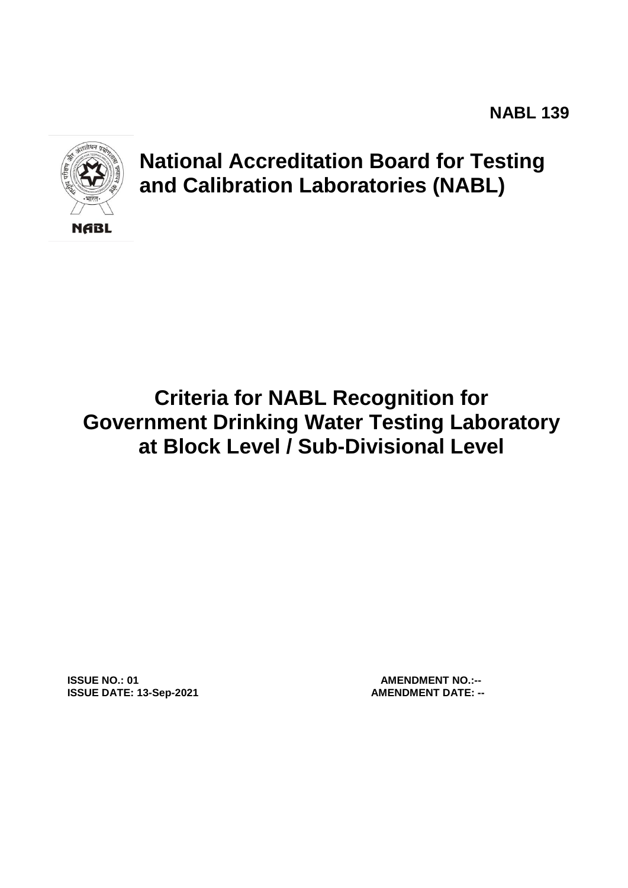

# **National Accreditation Board for Testing and Calibration Laboratories (NABL)**

# **Criteria for NABL Recognition for Government Drinking Water Testing Laboratory at Block Level / Sub-Divisional Level**

**ISSUE NO.: 01 AMENDMENT NO.:-- ISSUE DATE: 13-Sep-2021 AMENDMENT DATE: --**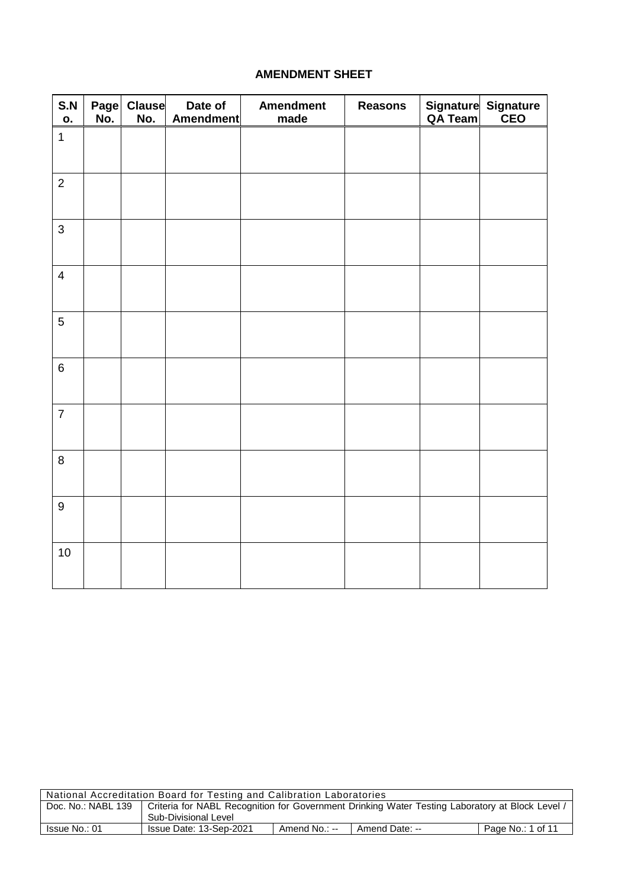#### **AMENDMENT SHEET**

| S.N<br>О.               | No. | Page Clause<br>No. | Date of<br>Amendment | <b>Amendment</b><br>made | <b>Reasons</b> | Signature Signature<br>QA Team CEO |
|-------------------------|-----|--------------------|----------------------|--------------------------|----------------|------------------------------------|
| $\mathbf{1}$            |     |                    |                      |                          |                |                                    |
| $\overline{2}$          |     |                    |                      |                          |                |                                    |
| $\mathbf{3}$            |     |                    |                      |                          |                |                                    |
| $\overline{\mathbf{4}}$ |     |                    |                      |                          |                |                                    |
| $\sqrt{5}$              |     |                    |                      |                          |                |                                    |
| $\,6\,$                 |     |                    |                      |                          |                |                                    |
| $\overline{7}$          |     |                    |                      |                          |                |                                    |
| $\bf 8$                 |     |                    |                      |                          |                |                                    |
| $\boldsymbol{9}$        |     |                    |                      |                          |                |                                    |
| $10$                    |     |                    |                      |                          |                |                                    |

| National Accreditation Board for Testing and Calibration Laboratories |                                                                                                 |               |                |                   |  |  |
|-----------------------------------------------------------------------|-------------------------------------------------------------------------------------------------|---------------|----------------|-------------------|--|--|
| Doc. No.: NABL 139                                                    | Criteria for NABL Recognition for Government Drinking Water Testing Laboratory at Block Level / |               |                |                   |  |  |
|                                                                       | Sub-Divisional Level                                                                            |               |                |                   |  |  |
| Issue No.: 01                                                         | Issue Date: 13-Sep-2021                                                                         | Amend No.: -- | Amend Date: -- | Page No.: 1 of 11 |  |  |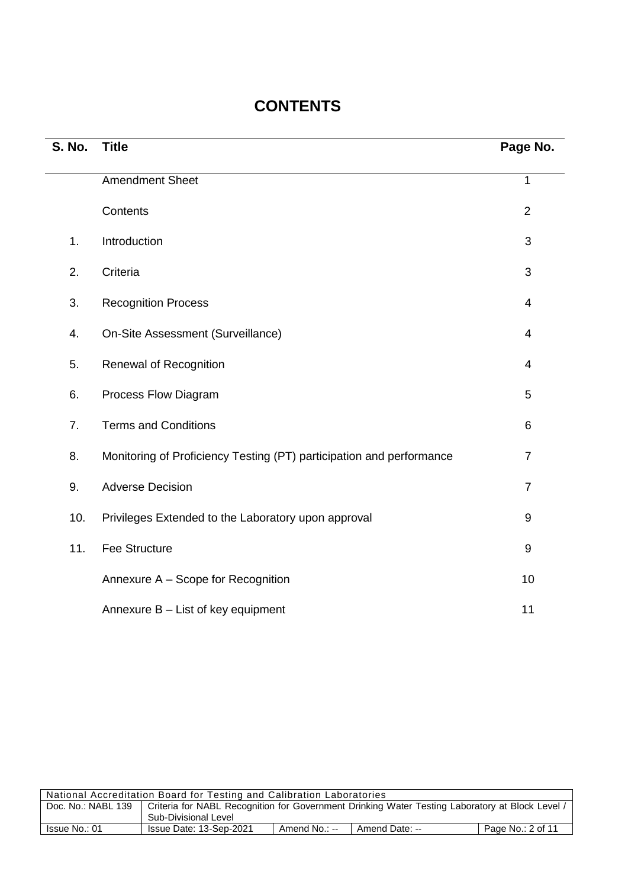## **CONTENTS**

| <b>S. No.</b> | <b>Title</b>                                                         | Page No.         |
|---------------|----------------------------------------------------------------------|------------------|
|               | <b>Amendment Sheet</b>                                               | $\mathbf 1$      |
|               | Contents                                                             | $\overline{2}$   |
| 1.            | Introduction                                                         | 3                |
| 2.            | Criteria                                                             | 3                |
| 3.            | <b>Recognition Process</b>                                           | $\overline{4}$   |
| 4.            | On-Site Assessment (Surveillance)                                    | $\overline{4}$   |
| 5.            | Renewal of Recognition                                               | $\overline{4}$   |
| 6.            | Process Flow Diagram                                                 | 5                |
| 7.            | <b>Terms and Conditions</b>                                          | 6                |
| 8.            | Monitoring of Proficiency Testing (PT) participation and performance | $\overline{7}$   |
| 9.            | <b>Adverse Decision</b>                                              | $\overline{7}$   |
| 10.           | Privileges Extended to the Laboratory upon approval                  | 9                |
| 11.           | <b>Fee Structure</b>                                                 | $\boldsymbol{9}$ |
|               | Annexure A - Scope for Recognition                                   | 10               |
|               | Annexure B - List of key equipment                                   | 11               |

| National Accreditation Board for Testing and Calibration Laboratories |                                                                                               |               |                |                   |  |
|-----------------------------------------------------------------------|-----------------------------------------------------------------------------------------------|---------------|----------------|-------------------|--|
| Doc. No.: NABL 139                                                    | Criteria for NABL Recognition for Government Drinking Water Testing Laboratory at Block Level |               |                |                   |  |
|                                                                       | Sub-Divisional Level                                                                          |               |                |                   |  |
| Issue No.: 01                                                         | Issue Date: 13-Sep-2021                                                                       | Amend No.: -- | Amend Date: -- | Page No.: 2 of 11 |  |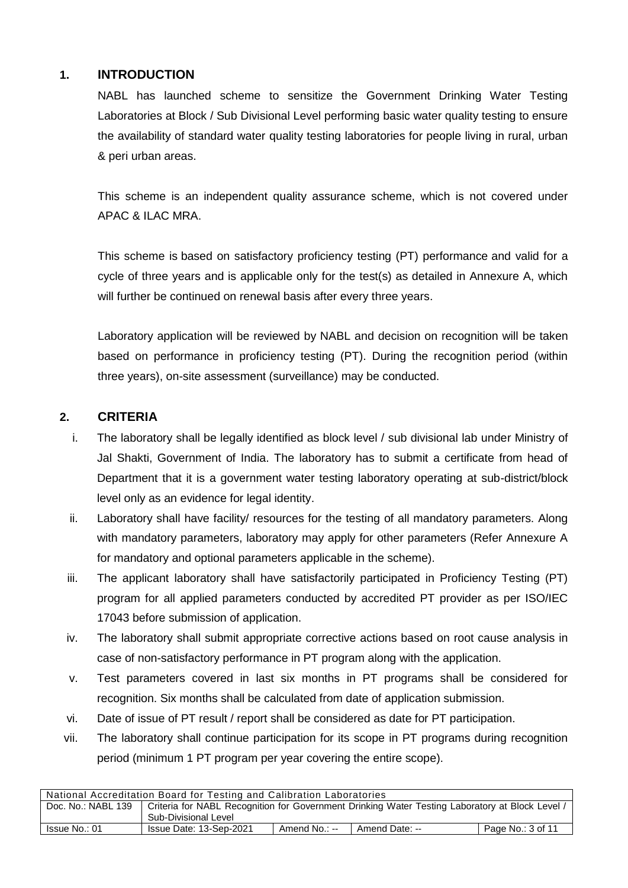#### **1. INTRODUCTION**

NABL has launched scheme to sensitize the Government Drinking Water Testing Laboratories at Block / Sub Divisional Level performing basic water quality testing to ensure the availability of standard water quality testing laboratories for people living in rural, urban & peri urban areas.

This scheme is an independent quality assurance scheme, which is not covered under APAC & ILAC MRA.

This scheme is based on satisfactory proficiency testing (PT) performance and valid for a cycle of three years and is applicable only for the test(s) as detailed in Annexure A, which will further be continued on renewal basis after every three years.

Laboratory application will be reviewed by NABL and decision on recognition will be taken based on performance in proficiency testing (PT). During the recognition period (within three years), on-site assessment (surveillance) may be conducted.

#### **2. CRITERIA**

- i. The laboratory shall be legally identified as block level / sub divisional lab under Ministry of Jal Shakti, Government of India. The laboratory has to submit a certificate from head of Department that it is a government water testing laboratory operating at sub-district/block level only as an evidence for legal identity.
- ii. Laboratory shall have facility/ resources for the testing of all mandatory parameters. Along with mandatory parameters, laboratory may apply for other parameters (Refer Annexure A for mandatory and optional parameters applicable in the scheme).
- iii. The applicant laboratory shall have satisfactorily participated in Proficiency Testing (PT) program for all applied parameters conducted by accredited PT provider as per ISO/IEC 17043 before submission of application.
- iv. The laboratory shall submit appropriate corrective actions based on root cause analysis in case of non-satisfactory performance in PT program along with the application.
- v. Test parameters covered in last six months in PT programs shall be considered for recognition. Six months shall be calculated from date of application submission.
- vi. Date of issue of PT result / report shall be considered as date for PT participation.
- vii. The laboratory shall continue participation for its scope in PT programs during recognition period (minimum 1 PT program per year covering the entire scope).

| National Accreditation Board for Testing and Calibration Laboratories |                                                                                                 |               |                |                   |  |
|-----------------------------------------------------------------------|-------------------------------------------------------------------------------------------------|---------------|----------------|-------------------|--|
| Doc. No.: NABL 139                                                    | Criteria for NABL Recognition for Government Drinking Water Testing Laboratory at Block Level / |               |                |                   |  |
|                                                                       | Sub-Divisional Level                                                                            |               |                |                   |  |
| Issue No.: 01                                                         | Issue Date: 13-Sep-2021                                                                         | Amend No.: -- | Amend Date: -- | Page No.: 3 of 11 |  |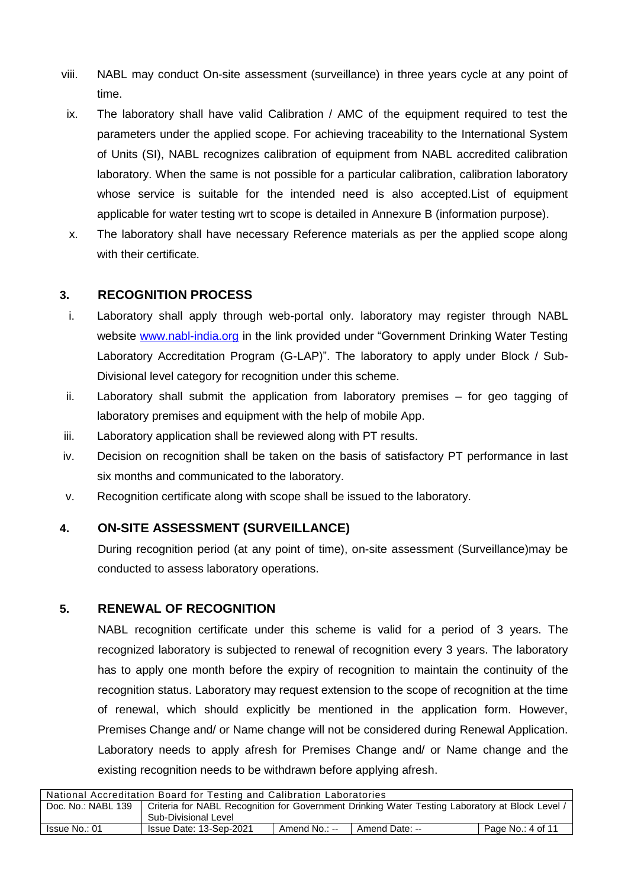- viii. NABL may conduct On-site assessment (surveillance) in three years cycle at any point of time.
- ix. The laboratory shall have valid Calibration / AMC of the equipment required to test the parameters under the applied scope. For achieving traceability to the International System of Units (SI), NABL recognizes calibration of equipment from NABL accredited calibration laboratory. When the same is not possible for a particular calibration, calibration laboratory whose service is suitable for the intended need is also accepted.List of equipment applicable for water testing wrt to scope is detailed in Annexure B (information purpose).
- x. The laboratory shall have necessary Reference materials as per the applied scope along with their certificate.

#### **3. RECOGNITION PROCESS**

- i. Laboratory shall apply through web-portal only. laboratory may register through NABL website [www.nabl-india.org](http://www.nabl-india.org/) in the link provided under "Government Drinking Water Testing Laboratory Accreditation Program (G-LAP)". The laboratory to apply under Block / Sub-Divisional level category for recognition under this scheme.
- ii. Laboratory shall submit the application from laboratory premises for geo tagging of laboratory premises and equipment with the help of mobile App.
- iii. Laboratory application shall be reviewed along with PT results.
- iv. Decision on recognition shall be taken on the basis of satisfactory PT performance in last six months and communicated to the laboratory.
- v. Recognition certificate along with scope shall be issued to the laboratory.

#### **4. ON-SITE ASSESSMENT (SURVEILLANCE)**

During recognition period (at any point of time), on-site assessment (Surveillance)may be conducted to assess laboratory operations.

#### **5. RENEWAL OF RECOGNITION**

NABL recognition certificate under this scheme is valid for a period of 3 years. The recognized laboratory is subjected to renewal of recognition every 3 years. The laboratory has to apply one month before the expiry of recognition to maintain the continuity of the recognition status. Laboratory may request extension to the scope of recognition at the time of renewal, which should explicitly be mentioned in the application form. However, Premises Change and/ or Name change will not be considered during Renewal Application. Laboratory needs to apply afresh for Premises Change and/ or Name change and the existing recognition needs to be withdrawn before applying afresh.

| National Accreditation Board for Testing and Calibration Laboratories |                                                                                                 |               |                |                   |  |
|-----------------------------------------------------------------------|-------------------------------------------------------------------------------------------------|---------------|----------------|-------------------|--|
| Doc. No.: NABL 139                                                    | Criteria for NABL Recognition for Government Drinking Water Testing Laboratory at Block Level / |               |                |                   |  |
|                                                                       | Sub-Divisional Level                                                                            |               |                |                   |  |
| Issue No.: 01                                                         | Issue Date: 13-Sep-2021                                                                         | Amend No.: -- | Amend Date: -- | Page No.: 4 of 11 |  |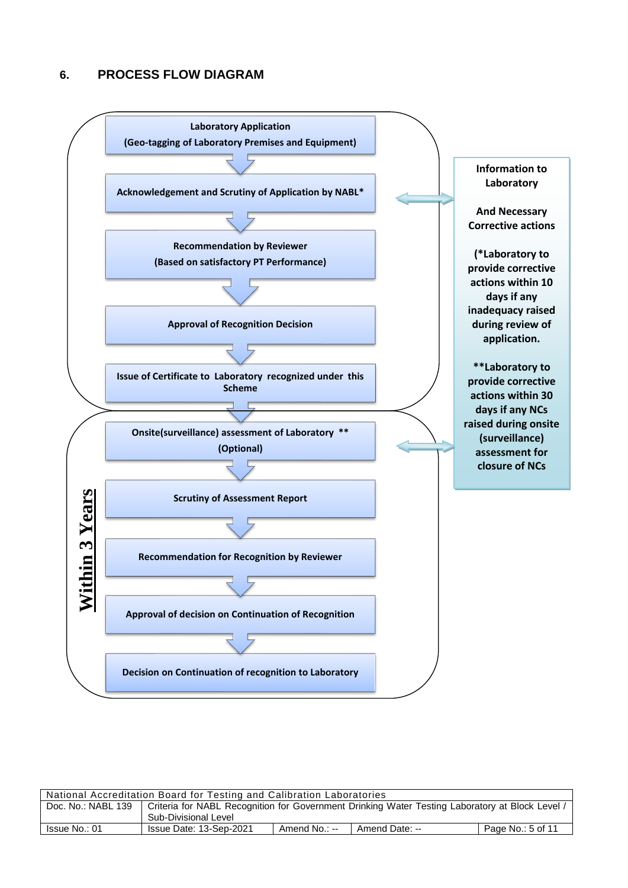#### **6. PROCESS FLOW DIAGRAM**



#### National Accreditation Board for Testing and Calibration Laboratories

| Doc. No.: NABL 139 | Criteria for NABL Recognition for Government Drinking Water Testing Laboratory at Block Level / |               |                |                   |  |  |
|--------------------|-------------------------------------------------------------------------------------------------|---------------|----------------|-------------------|--|--|
|                    | Sub-Divisional Level                                                                            |               |                |                   |  |  |
| Issue No.: 01      | Issue Date: 13-Sep-2021                                                                         | Amend No.: -- | Amend Date: -- | Page No.: 5 of 11 |  |  |

٦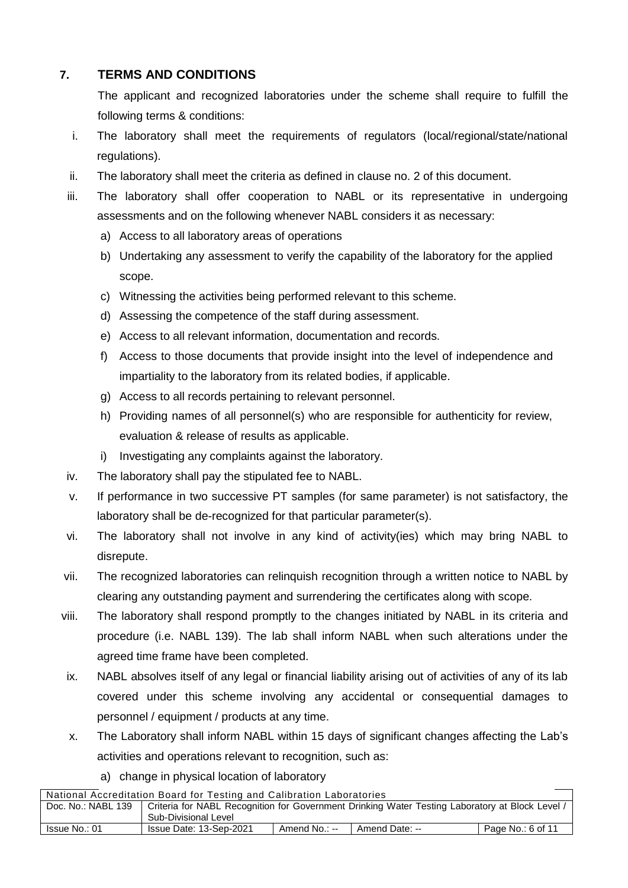### **7. TERMS AND CONDITIONS**

The applicant and recognized laboratories under the scheme shall require to fulfill the following terms & conditions:

- i. The laboratory shall meet the requirements of regulators (local/regional/state/national regulations).
- ii. The laboratory shall meet the criteria as defined in clause no. 2 of this document.
- iii. The laboratory shall offer cooperation to NABL or its representative in undergoing assessments and on the following whenever NABL considers it as necessary:
	- a) Access to all laboratory areas of operations
	- b) Undertaking any assessment to verify the capability of the laboratory for the applied scope.
	- c) Witnessing the activities being performed relevant to this scheme.
	- d) Assessing the competence of the staff during assessment.
	- e) Access to all relevant information, documentation and records.
	- f) Access to those documents that provide insight into the level of independence and impartiality to the laboratory from its related bodies, if applicable.
	- g) Access to all records pertaining to relevant personnel.
	- h) Providing names of all personnel(s) who are responsible for authenticity for review, evaluation & release of results as applicable.
	- i) Investigating any complaints against the laboratory.
- iv. The laboratory shall pay the stipulated fee to NABL.
- v. If performance in two successive PT samples (for same parameter) is not satisfactory, the laboratory shall be de-recognized for that particular parameter(s).
- vi. The laboratory shall not involve in any kind of activity(ies) which may bring NABL to disrepute.
- vii. The recognized laboratories can relinquish recognition through a written notice to NABL by clearing any outstanding payment and surrendering the certificates along with scope.
- viii. The laboratory shall respond promptly to the changes initiated by NABL in its criteria and procedure (i.e. NABL 139). The lab shall inform NABL when such alterations under the agreed time frame have been completed.
- ix. NABL absolves itself of any legal or financial liability arising out of activities of any of its lab covered under this scheme involving any accidental or consequential damages to personnel / equipment / products at any time.
- x. The Laboratory shall inform NABL within 15 days of significant changes affecting the Lab's activities and operations relevant to recognition, such as:
	- a) change in physical location of laboratory

| National Accreditation Board for Testing and Calibration Laboratories                                                 |                         |               |                |                   |  |  |
|-----------------------------------------------------------------------------------------------------------------------|-------------------------|---------------|----------------|-------------------|--|--|
| Doc. No.: NABL 139<br>Criteria for NABL Recognition for Government Drinking Water Testing Laboratory at Block Level / |                         |               |                |                   |  |  |
|                                                                                                                       | Sub-Divisional Level    |               |                |                   |  |  |
| Issue No.: 01                                                                                                         | Issue Date: 13-Sep-2021 | Amend No.: -- | Amend Date: -- | Page No.: 6 of 11 |  |  |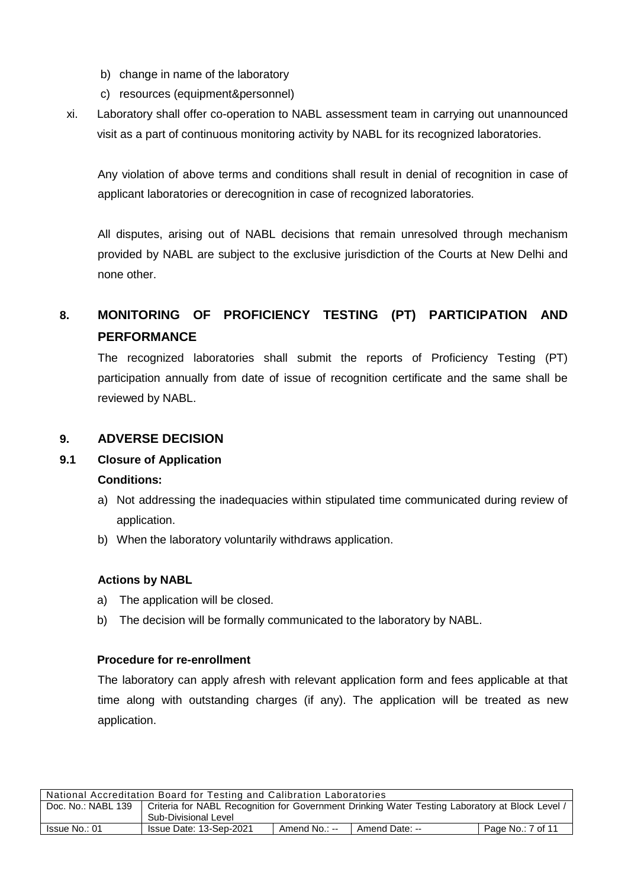- b) change in name of the laboratory
- c) resources (equipment&personnel)
- xi. Laboratory shall offer co-operation to NABL assessment team in carrying out unannounced visit as a part of continuous monitoring activity by NABL for its recognized laboratories.

Any violation of above terms and conditions shall result in denial of recognition in case of applicant laboratories or derecognition in case of recognized laboratories.

All disputes, arising out of NABL decisions that remain unresolved through mechanism provided by NABL are subject to the exclusive jurisdiction of the Courts at New Delhi and none other.

## **8. MONITORING OF PROFICIENCY TESTING (PT) PARTICIPATION AND PERFORMANCE**

The recognized laboratories shall submit the reports of Proficiency Testing (PT) participation annually from date of issue of recognition certificate and the same shall be reviewed by NABL.

#### **9. ADVERSE DECISION**

#### **9.1 Closure of Application**

#### **Conditions:**

- a) Not addressing the inadequacies within stipulated time communicated during review of application.
- b) When the laboratory voluntarily withdraws application.

#### **Actions by NABL**

- a) The application will be closed.
- b) The decision will be formally communicated to the laboratory by NABL.

#### **Procedure for re-enrollment**

The laboratory can apply afresh with relevant application form and fees applicable at that time along with outstanding charges (if any). The application will be treated as new application.

| National Accreditation Board for Testing and Calibration Laboratories |                                                                                                 |               |                |                   |  |
|-----------------------------------------------------------------------|-------------------------------------------------------------------------------------------------|---------------|----------------|-------------------|--|
| Doc. No.: NABL 139                                                    | Criteria for NABL Recognition for Government Drinking Water Testing Laboratory at Block Level / |               |                |                   |  |
|                                                                       | Sub-Divisional Level                                                                            |               |                |                   |  |
| Issue No.: 01                                                         | Issue Date: 13-Sep-2021                                                                         | Amend No.: -- | Amend Date: -- | Page No.: 7 of 11 |  |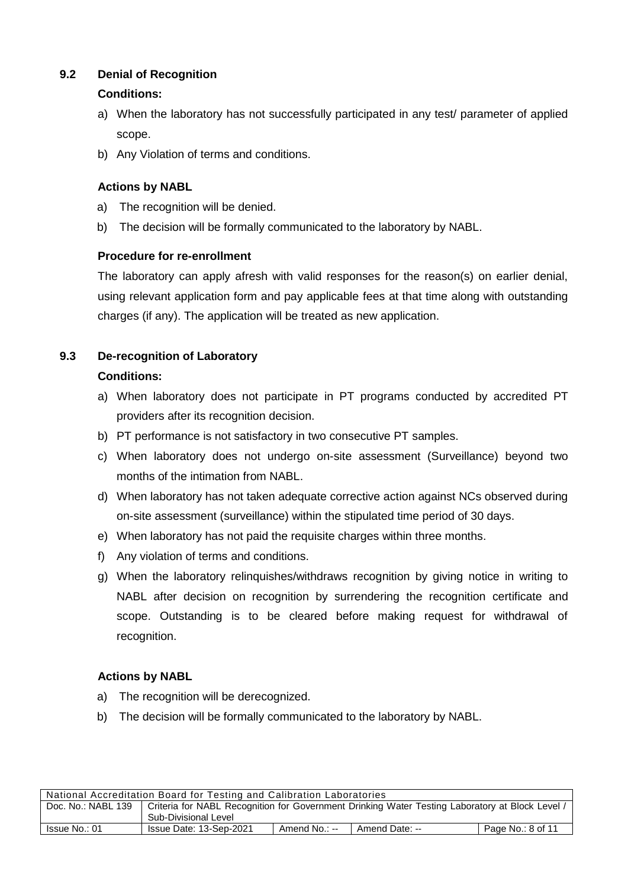#### **9.2 Denial of Recognition**

#### **Conditions:**

- a) When the laboratory has not successfully participated in any test/ parameter of applied scope.
- b) Any Violation of terms and conditions.

#### **Actions by NABL**

- a) The recognition will be denied.
- b) The decision will be formally communicated to the laboratory by NABL.

#### **Procedure for re-enrollment**

The laboratory can apply afresh with valid responses for the reason(s) on earlier denial, using relevant application form and pay applicable fees at that time along with outstanding charges (if any). The application will be treated as new application.

#### **9.3 De-recognition of Laboratory**

#### **Conditions:**

- a) When laboratory does not participate in PT programs conducted by accredited PT providers after its recognition decision.
- b) PT performance is not satisfactory in two consecutive PT samples.
- c) When laboratory does not undergo on-site assessment (Surveillance) beyond two months of the intimation from NABL.
- d) When laboratory has not taken adequate corrective action against NCs observed during on-site assessment (surveillance) within the stipulated time period of 30 days.
- e) When laboratory has not paid the requisite charges within three months.
- f) Any violation of terms and conditions.
- g) When the laboratory relinquishes/withdraws recognition by giving notice in writing to NABL after decision on recognition by surrendering the recognition certificate and scope. Outstanding is to be cleared before making request for withdrawal of recognition.

#### **Actions by NABL**

- a) The recognition will be derecognized.
- b) The decision will be formally communicated to the laboratory by NABL.

| National Accreditation Board for Testing and Calibration Laboratories |                                                                                                 |               |                |                   |  |
|-----------------------------------------------------------------------|-------------------------------------------------------------------------------------------------|---------------|----------------|-------------------|--|
| Doc. No.: NABL 139                                                    | Criteria for NABL Recognition for Government Drinking Water Testing Laboratory at Block Level / |               |                |                   |  |
|                                                                       | Sub-Divisional Level                                                                            |               |                |                   |  |
| Issue No.: 01                                                         | Issue Date: 13-Sep-2021                                                                         | Amend No.: -- | Amend Date: -- | Page No.: 8 of 11 |  |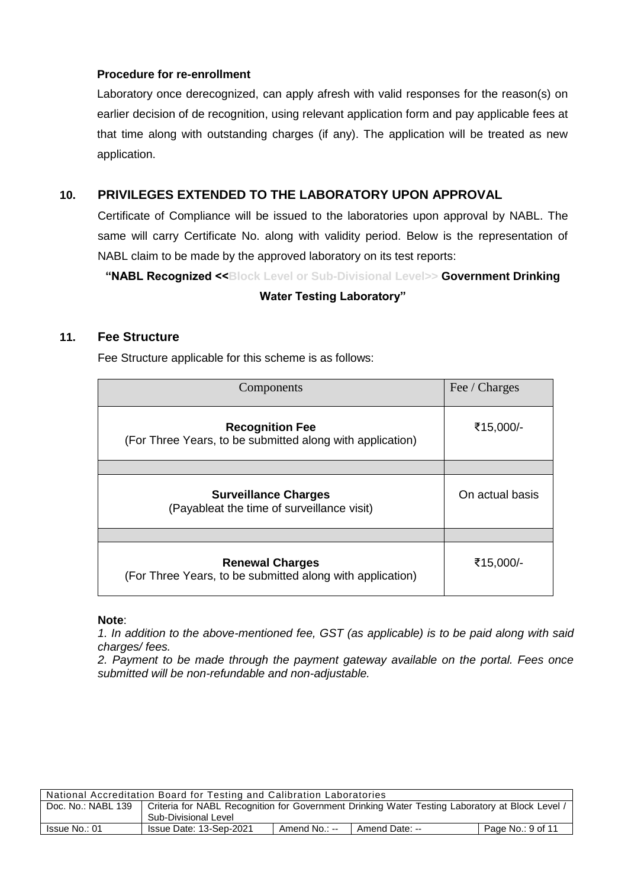#### **Procedure for re-enrollment**

Laboratory once derecognized, can apply afresh with valid responses for the reason(s) on earlier decision of de recognition, using relevant application form and pay applicable fees at that time along with outstanding charges (if any). The application will be treated as new application.

#### **10. PRIVILEGES EXTENDED TO THE LABORATORY UPON APPROVAL**

Certificate of Compliance will be issued to the laboratories upon approval by NABL. The same will carry Certificate No. along with validity period. Below is the representation of NABL claim to be made by the approved laboratory on its test reports:

**"NABL Recognized <<Block Level or Sub-Divisional Level>> Government Drinking** 

#### **Water Testing Laboratory"**

#### **11. Fee Structure**

Fee Structure applicable for this scheme is as follows:

| Components                                                                          | Fee / Charges   |
|-------------------------------------------------------------------------------------|-----------------|
| <b>Recognition Fee</b><br>(For Three Years, to be submitted along with application) | ₹15,000/-       |
|                                                                                     |                 |
| <b>Surveillance Charges</b><br>(Payableat the time of surveillance visit)           | On actual basis |
|                                                                                     |                 |
| <b>Renewal Charges</b><br>(For Three Years, to be submitted along with application) | ₹15,000/-       |

#### **Note**:

*1. In addition to the above-mentioned fee, GST (as applicable) is to be paid along with said charges/ fees.*

*2. Payment to be made through the payment gateway available on the portal. Fees once submitted will be non-refundable and non-adjustable.*

| National Accreditation Board for Testing and Calibration Laboratories |                                                                                                 |               |                |                   |  |
|-----------------------------------------------------------------------|-------------------------------------------------------------------------------------------------|---------------|----------------|-------------------|--|
| Doc. No.: NABL 139                                                    | Criteria for NABL Recognition for Government Drinking Water Testing Laboratory at Block Level / |               |                |                   |  |
|                                                                       | Sub-Divisional Level                                                                            |               |                |                   |  |
| Issue No.: 01                                                         | Issue Date: 13-Sep-2021                                                                         | Amend No.: -- | Amend Date: -- | Page No.: 9 of 11 |  |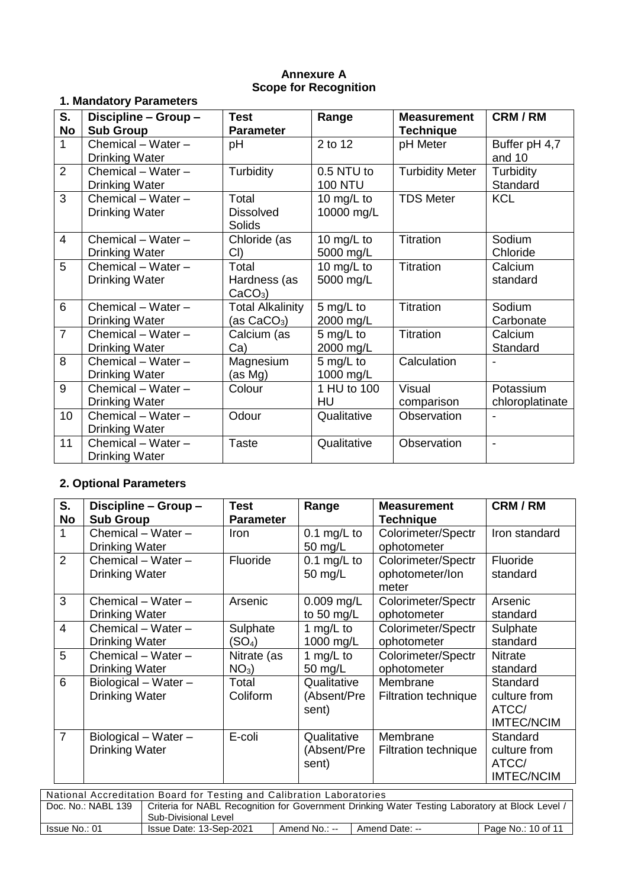#### **Annexure A Scope for Recognition**

### **1. Mandatory Parameters**

| S.             | Discipline - Group -  | <b>Test</b>             | Range          | <b>Measurement</b>     | <b>CRM/RM</b>            |
|----------------|-----------------------|-------------------------|----------------|------------------------|--------------------------|
| <b>No</b>      | <b>Sub Group</b>      | <b>Parameter</b>        |                | <b>Technique</b>       |                          |
| $\mathbf{1}$   | Chemical - Water -    | pH                      | 2 to 12        | pH Meter               | Buffer pH 4,7            |
|                | <b>Drinking Water</b> |                         |                |                        | and 10                   |
| 2              | Chemical - Water -    | Turbidity               | 0.5 NTU to     | <b>Turbidity Meter</b> | Turbidity                |
|                | <b>Drinking Water</b> |                         | <b>100 NTU</b> |                        | Standard                 |
| 3              | Chemical - Water -    | Total                   | 10 mg/L to     | <b>TDS Meter</b>       | <b>KCL</b>               |
|                | <b>Drinking Water</b> | <b>Dissolved</b>        | 10000 mg/L     |                        |                          |
|                |                       | Solids                  |                |                        |                          |
| $\overline{4}$ | Chemical - Water -    | Chloride (as            | 10 mg/L to     | Titration              | Sodium                   |
|                | <b>Drinking Water</b> | CI)                     | 5000 mg/L      |                        | Chloride                 |
| 5              | Chemical - Water -    | Total                   | 10 mg/L to     | Titration              | Calcium                  |
|                | <b>Drinking Water</b> | Hardness (as            | 5000 mg/L      |                        | standard                 |
|                |                       | $CaCO3$ )               |                |                        |                          |
| 6              | Chemical - Water -    | <b>Total Alkalinity</b> | 5 mg/L to      | Titration              | Sodium                   |
|                | Drinking Water        | (as CaCO <sub>3</sub> ) | 2000 mg/L      |                        | Carbonate                |
| $\overline{7}$ | Chemical - Water -    | Calcium (as             | 5 mg/L to      | Titration              | Calcium                  |
|                | Drinking Water        | Ca)                     | 2000 mg/L      |                        | Standard                 |
| 8              | Chemical - Water -    | Magnesium               | 5 mg/L to      | Calculation            |                          |
|                | <b>Drinking Water</b> | (as Mg)                 | 1000 mg/L      |                        |                          |
| 9              | Chemical - Water -    | Colour                  | 1 HU to 100    | <b>Visual</b>          | Potassium                |
|                | <b>Drinking Water</b> |                         | HU             | comparison             | chloroplatinate          |
| 10             | Chemical - Water -    | Odour                   | Qualitative    | Observation            |                          |
|                | <b>Drinking Water</b> |                         |                |                        |                          |
| 11             | Chemical - Water -    | <b>Taste</b>            | Qualitative    | Observation            | $\overline{\phantom{a}}$ |
|                | <b>Drinking Water</b> |                         |                |                        |                          |

## **2. Optional Parameters**

| S.<br><b>No</b> | Discipline - Group -<br><b>Sub Group</b>        | Test<br><b>Parameter</b>       | Range                               | <b>Measurement</b><br><b>Technique</b>         | CRM/RM                                                 |
|-----------------|-------------------------------------------------|--------------------------------|-------------------------------------|------------------------------------------------|--------------------------------------------------------|
| 1               | Chemical $-$ Water $-$<br><b>Drinking Water</b> | <b>Iron</b>                    | $0.1$ mg/L to<br>50 mg/L            | Colorimeter/Spectr<br>ophotometer              | Iron standard                                          |
| 2               | Chemical - Water -<br><b>Drinking Water</b>     | Fluoride                       | 0.1 mg/L to<br>50 mg/L              | Colorimeter/Spectr<br>ophotometer/lon<br>meter | <b>Fluoride</b><br>standard                            |
| 3               | Chemical - Water -<br><b>Drinking Water</b>     | Arsenic                        | $0.009$ mg/L<br>to 50 mg/L          | Colorimeter/Spectr<br>ophotometer              | Arsenic<br>standard                                    |
| $\overline{4}$  | Chemical $-$ Water $-$<br><b>Drinking Water</b> | Sulphate<br>(SO <sub>4</sub> ) | 1 mg/L to<br>1000 mg/L              | Colorimeter/Spectr<br>ophotometer              | Sulphate<br>standard                                   |
| 5               | Chemical - Water -<br><b>Drinking Water</b>     | Nitrate (as<br>$NO3$ )         | 1 mg/L to<br>50 mg/L                | Colorimeter/Spectr<br>ophotometer              | <b>Nitrate</b><br>standard                             |
| 6               | Biological - Water -<br><b>Drinking Water</b>   | Total<br>Coliform              | Qualitative<br>(Absent/Pre<br>sent) | Membrane<br><b>Filtration technique</b>        | Standard<br>culture from<br>ATCC/<br><b>IMTEC/NCIM</b> |
| $\overline{7}$  | Biological - Water -<br><b>Drinking Water</b>   | E-coli                         | Qualitative<br>(Absent/Pre<br>sent) | Membrane<br><b>Filtration technique</b>        | Standard<br>culture from<br>ATCC/<br><b>IMTEC/NCIM</b> |

| National Accreditation Board for Testing and Calibration Laboratories |                                                                                                 |               |                |                    |  |
|-----------------------------------------------------------------------|-------------------------------------------------------------------------------------------------|---------------|----------------|--------------------|--|
| Doc. No.: NABL 139                                                    | Criteria for NABL Recognition for Government Drinking Water Testing Laboratory at Block Level / |               |                |                    |  |
|                                                                       | Sub-Divisional Level                                                                            |               |                |                    |  |
| Issue No.: 01                                                         | Issue Date: 13-Sep-2021                                                                         | Amend No.: -- | Amend Date: -- | Page No.: 10 of 11 |  |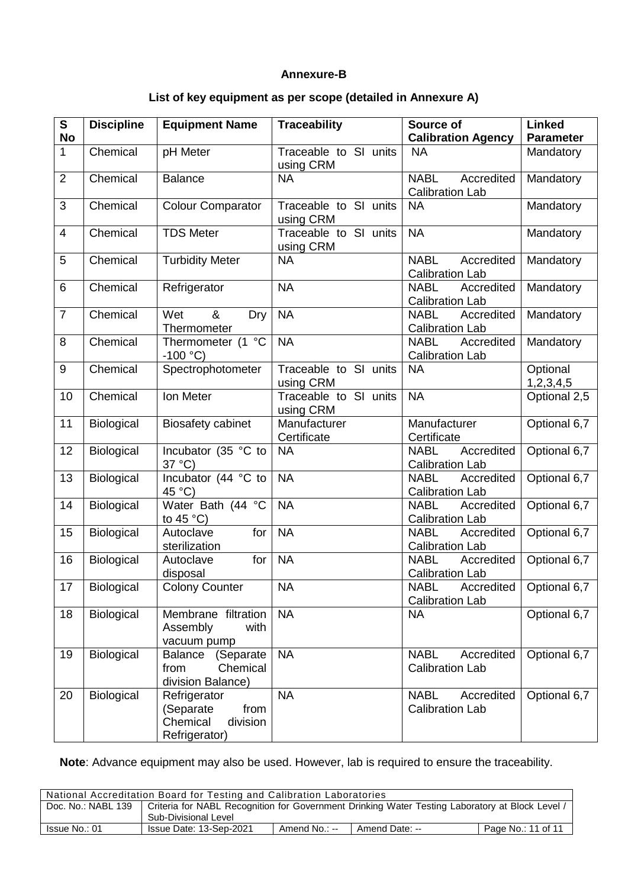#### **Annexure-B**

#### **List of key equipment as per scope (detailed in Annexure A)**

| $\mathbf{s}$<br><b>No</b> | <b>Discipline</b> | <b>Equipment Name</b>                                                      | <b>Traceability</b>                | Source of<br><b>Calibration Agency</b>              | <b>Linked</b><br><b>Parameter</b> |
|---------------------------|-------------------|----------------------------------------------------------------------------|------------------------------------|-----------------------------------------------------|-----------------------------------|
| $\mathbf{1}$              | Chemical          | pH Meter                                                                   | Traceable to SI units<br>using CRM | <b>NA</b>                                           | Mandatory                         |
| $\overline{2}$            | Chemical          | <b>Balance</b>                                                             | <b>NA</b>                          | <b>NABL</b><br>Accredited<br><b>Calibration Lab</b> | Mandatory                         |
| 3                         | Chemical          | <b>Colour Comparator</b>                                                   | Traceable to SI units<br>using CRM | <b>NA</b>                                           | Mandatory                         |
| $\overline{4}$            | Chemical          | <b>TDS Meter</b>                                                           | Traceable to SI units<br>using CRM | <b>NA</b>                                           | Mandatory                         |
| 5                         | Chemical          | <b>Turbidity Meter</b>                                                     | <b>NA</b>                          | <b>NABL</b><br>Accredited<br><b>Calibration Lab</b> | Mandatory                         |
| 6                         | Chemical          | Refrigerator                                                               | <b>NA</b>                          | <b>NABL</b><br>Accredited<br><b>Calibration Lab</b> | Mandatory                         |
| $\overline{7}$            | Chemical          | Wet<br>&<br>Dry<br>Thermometer                                             | <b>NA</b>                          | <b>NABL</b><br>Accredited<br><b>Calibration Lab</b> | Mandatory                         |
| 8                         | Chemical          | Thermometer (1 °C<br>$-100 °C$                                             | <b>NA</b>                          | <b>NABL</b><br>Accredited<br><b>Calibration Lab</b> | Mandatory                         |
| 9                         | Chemical          | Spectrophotometer                                                          | Traceable to SI units<br>using CRM | <b>NA</b>                                           | Optional<br>1,2,3,4,5             |
| 10                        | Chemical          | Ion Meter                                                                  | Traceable to SI units<br>using CRM | <b>NA</b>                                           | Optional 2,5                      |
| 11                        | Biological        | <b>Biosafety cabinet</b>                                                   | Manufacturer<br>Certificate        | Manufacturer<br>Certificate                         | Optional 6,7                      |
| 12                        | Biological        | Incubator (35 °C to<br>37 °C)                                              | <b>NA</b>                          | <b>NABL</b><br>Accredited<br><b>Calibration Lab</b> | Optional 6,7                      |
| 13                        | Biological        | Incubator (44 °C to<br>45 °C)                                              | <b>NA</b>                          | <b>NABL</b><br>Accredited<br><b>Calibration Lab</b> | Optional 6,7                      |
| 14                        | <b>Biological</b> | Water Bath (44 °C<br>to 45 $^{\circ}$ C)                                   | <b>NA</b>                          | <b>NABL</b><br>Accredited<br><b>Calibration Lab</b> | Optional 6,7                      |
| 15                        | Biological        | Autoclave<br>for<br>sterilization                                          | <b>NA</b>                          | <b>NABL</b><br>Accredited<br><b>Calibration Lab</b> | Optional 6,7                      |
| 16                        | Biological        | Autoclave<br>for<br>disposal                                               | <b>NA</b>                          | <b>NABL</b><br>Accredited<br><b>Calibration Lab</b> | Optional 6,7                      |
| $\overline{17}$           | Biological        | <b>Colony Counter</b>                                                      | <b>NA</b>                          | <b>NABL</b><br><b>Calibration Lab</b>               | Accredited Optional 6,7           |
| 18                        | Biological        | Membrane filtration<br>Assembly<br>with<br>vacuum pump                     | <b>NA</b>                          | <b>NA</b>                                           | Optional 6,7                      |
| 19                        | Biological        | (Separate<br><b>Balance</b><br>from<br>Chemical<br>division Balance)       | <b>NA</b>                          | <b>NABL</b><br>Accredited<br><b>Calibration Lab</b> | Optional 6,7                      |
| 20                        | <b>Biological</b> | Refrigerator<br>(Separate<br>from<br>Chemical<br>division<br>Refrigerator) | <b>NA</b>                          | <b>NABL</b><br>Accredited<br><b>Calibration Lab</b> | Optional 6,7                      |

**Note**: Advance equipment may also be used. However, lab is required to ensure the traceability.

| National Accreditation Board for Testing and Calibration Laboratories |                                                                                                 |               |                |                    |  |  |
|-----------------------------------------------------------------------|-------------------------------------------------------------------------------------------------|---------------|----------------|--------------------|--|--|
| Doc. No.: NABL 139                                                    | Criteria for NABL Recognition for Government Drinking Water Testing Laboratory at Block Level / |               |                |                    |  |  |
|                                                                       | Sub-Divisional Level                                                                            |               |                |                    |  |  |
| Issue No.: 01                                                         | Issue Date: 13-Sep-2021                                                                         | Amend No.: -- | Amend Date: -- | Page No.: 11 of 11 |  |  |